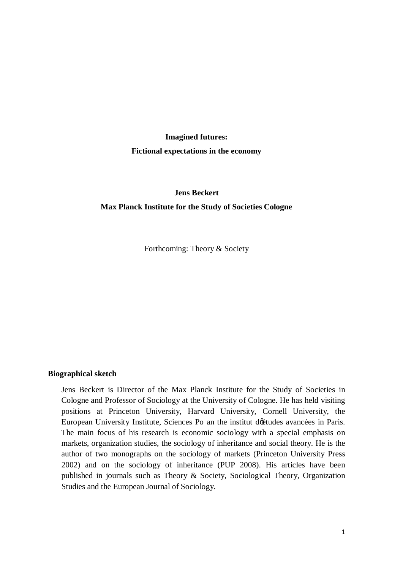**Imagined futures: Fictional expectations in the economy** 

**Jens Beckert**

# **Max Planck Institute for the Study of Societies Cologne**

Forthcoming: Theory & Society

#### **Biographical sketch**

Jens Beckert is Director of the Max Planck Institute for the Study of Societies in Cologne and Professor of Sociology at the University of Cologne. He has held visiting positions at Princeton University, Harvard University, Cornell University, the European University Institute, Sciences Po an the institut d'études avancées in Paris. The main focus of his research is economic sociology with a special emphasis on markets, organization studies, the sociology of inheritance and social theory. He is the author of two monographs on the sociology of markets (Princeton University Press 2002) and on the sociology of inheritance (PUP 2008). His articles have been published in journals such as Theory & Society, Sociological Theory, Organization Studies and the European Journal of Sociology.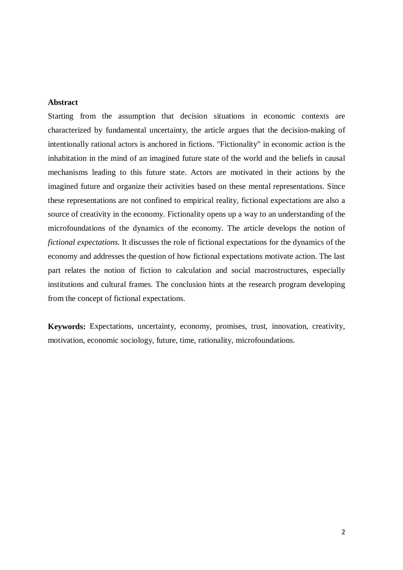# **Abstract**

Starting from the assumption that decision situations in economic contexts are characterized by fundamental uncertainty, the article argues that the decision-making of intentionally rational actors is anchored in fictions. "Fictionality" in economic action is the inhabitation in the mind of an imagined future state of the world and the beliefs in causal mechanisms leading to this future state. Actors are motivated in their actions by the imagined future and organize their activities based on these mental representations. Since these representations are not confined to empirical reality, fictional expectations are also a source of creativity in the economy. Fictionality opens up a way to an understanding of the microfoundations of the dynamics of the economy. The article develops the notion of *fictional expectations.* It discusses the role of fictional expectations for the dynamics of the economy and addresses the question of how fictional expectations motivate action. The last part relates the notion of fiction to calculation and social macrostructures, especially institutions and cultural frames. The conclusion hints at the research program developing from the concept of fictional expectations.

**Keywords:** Expectations, uncertainty, economy, promises, trust, innovation, creativity, motivation, economic sociology, future, time, rationality, microfoundations.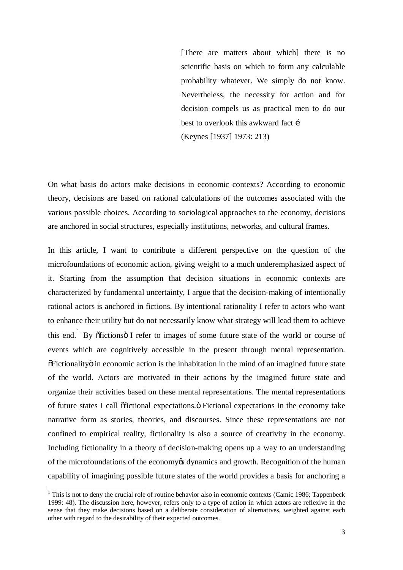[There are matters about which] there is no scientific basis on which to form any calculable probability whatever. We simply do not know. Nevertheless, the necessity for action and for decision compels us as practical men to do our best to overlook this awkward fact i (Keynes [1937] 1973: 213)

On what basis do actors make decisions in economic contexts? According to economic theory, decisions are based on rational calculations of the outcomes associated with the various possible choices. According to sociological approaches to the economy, decisions are anchored in social structures, especially institutions, networks, and cultural frames.

In this article, I want to contribute a different perspective on the question of the microfoundations of economic action, giving weight to a much underemphasized aspect of it. Starting from the assumption that decision situations in economic contexts are characterized by fundamental uncertainty, I argue that the decision-making of intentionally rational actors is anchored in fictions. By intentional rationality I refer to actors who want to enhance their utility but do not necessarily know what strategy will lead them to achieve this end.<sup>1</sup> By  $\tilde{\text{of}}$  interest to images of some future state of the world or course of events which are cognitively accessible in the present through mental representation.  $\ddot{\text{o}}$  Fictionality in economic action is the inhabitation in the mind of an imagined future state of the world. Actors are motivated in their actions by the imagined future state and organize their activities based on these mental representations. The mental representations of future states I call ofictional expectations. Tictional expectations in the economy take narrative form as stories, theories, and discourses. Since these representations are not confined to empirical reality, fictionality is also a source of creativity in the economy. Including fictionality in a theory of decision-making opens up a way to an understanding of the microfoundations of the economy ts dynamics and growth. Recognition of the human capability of imagining possible future states of the world provides a basis for anchoring a

 $1$  This is not to deny the crucial role of routine behavior also in economic contexts (Camic 1986; Tappenbeck 1999: 48). The discussion here, however, refers only to a type of action in which actors are reflexive in the sense that they make decisions based on a deliberate consideration of alternatives, weighted against each other with regard to the desirability of their expected outcomes.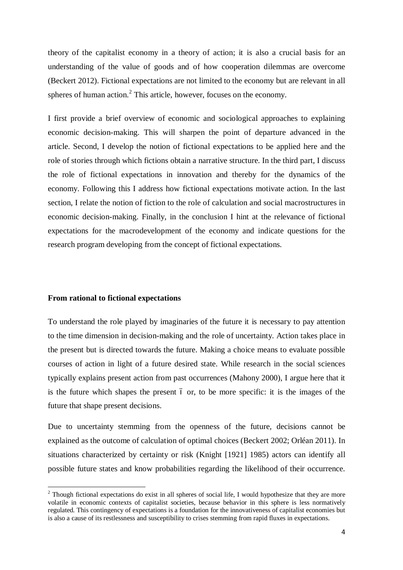theory of the capitalist economy in a theory of action; it is also a crucial basis for an understanding of the value of goods and of how cooperation dilemmas are overcome (Beckert 2012). Fictional expectations are not limited to the economy but are relevant in all spheres of human action. $<sup>2</sup>$  This article, however, focuses on the economy.</sup>

I first provide a brief overview of economic and sociological approaches to explaining economic decision-making. This will sharpen the point of departure advanced in the article. Second, I develop the notion of fictional expectations to be applied here and the role of stories through which fictions obtain a narrative structure. In the third part, I discuss the role of fictional expectations in innovation and thereby for the dynamics of the economy. Following this I address how fictional expectations motivate action. In the last section, I relate the notion of fiction to the role of calculation and social macrostructures in economic decision-making. Finally, in the conclusion I hint at the relevance of fictional expectations for the macrodevelopment of the economy and indicate questions for the research program developing from the concept of fictional expectations.

#### **From rational to fictional expectations**

To understand the role played by imaginaries of the future it is necessary to pay attention to the time dimension in decision-making and the role of uncertainty. Action takes place in the present but is directed towards the future. Making a choice means to evaluate possible courses of action in light of a future desired state. While research in the social sciences typically explains present action from past occurrences (Mahony 2000), I argue here that it is the future which shapes the present 6 or, to be more specific: it is the images of the future that shape present decisions.

Due to uncertainty stemming from the openness of the future, decisions cannot be explained as the outcome of calculation of optimal choices (Beckert 2002; Orléan 2011). In situations characterized by certainty or risk (Knight [1921] 1985) actors can identify all possible future states and know probabilities regarding the likelihood of their occurrence.

<sup>&</sup>lt;sup>2</sup> Though fictional expectations do exist in all spheres of social life, I would hypothesize that they are more volatile in economic contexts of capitalist societies, because behavior in this sphere is less normatively regulated. This contingency of expectations is a foundation for the innovativeness of capitalist economies but is also a cause of its restlessness and susceptibility to crises stemming from rapid fluxes in expectations.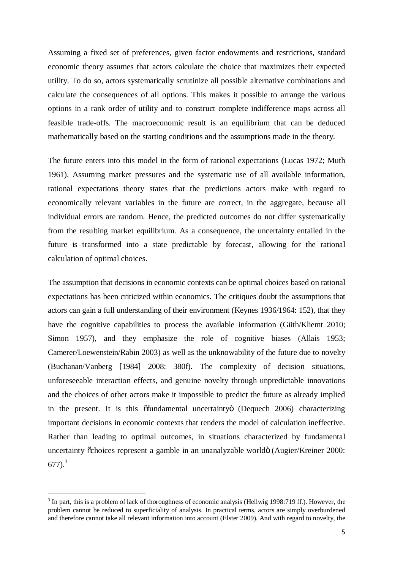Assuming a fixed set of preferences, given factor endowments and restrictions, standard economic theory assumes that actors calculate the choice that maximizes their expected utility. To do so, actors systematically scrutinize all possible alternative combinations and calculate the consequences of all options. This makes it possible to arrange the various options in a rank order of utility and to construct complete indifference maps across all feasible trade-offs. The macroeconomic result is an equilibrium that can be deduced mathematically based on the starting conditions and the assumptions made in the theory.

The future enters into this model in the form of rational expectations (Lucas 1972; Muth 1961). Assuming market pressures and the systematic use of all available information, rational expectations theory states that the predictions actors make with regard to economically relevant variables in the future are correct, in the aggregate, because all individual errors are random. Hence, the predicted outcomes do not differ systematically from the resulting market equilibrium. As a consequence, the uncertainty entailed in the future is transformed into a state predictable by forecast, allowing for the rational calculation of optimal choices.

The assumption that decisions in economic contexts can be optimal choices based on rational expectations has been criticized within economics. The critiques doubt the assumptions that actors can gain a full understanding of their environment (Keynes 1936/1964: 152), that they have the cognitive capabilities to process the available information (Güth/Kliemt 2010; Simon 1957), and they emphasize the role of cognitive biases (Allais 1953; Camerer/Loewenstein/Rabin 2003) as well as the unknowability of the future due to novelty (Buchanan/Vanberg [1984] 2008: 380f). The complexity of decision situations, unforeseeable interaction effects, and genuine novelty through unpredictable innovations and the choices of other actors make it impossible to predict the future as already implied in the present. It is this offundamental uncertainty (Dequech 2006) characterizing important decisions in economic contexts that renders the model of calculation ineffective. Rather than leading to optimal outcomes, in situations characterized by fundamental uncertainty  $\tilde{\alpha}$ choices represent a gamble in an unanalyzable world $\ddot{\alpha}$  (Augier/Kreiner 2000: 677). 3

 $\overline{a}$ 

 $3$  In part, this is a problem of lack of thoroughness of economic analysis (Hellwig 1998:719 ff.). However, the problem cannot be reduced to superficiality of analysis. In practical terms, actors are simply overburdened and therefore cannot take all relevant information into account (Elster 2009). And with regard to novelty, the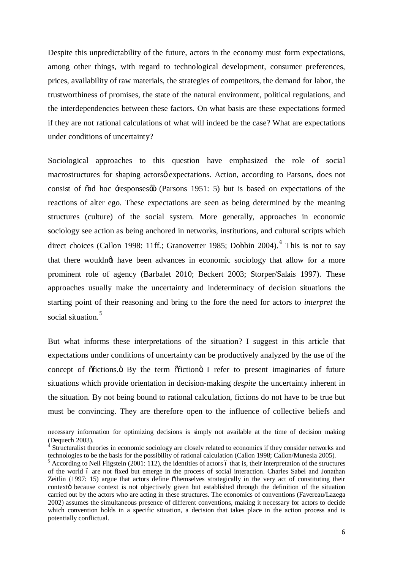Despite this unpredictability of the future, actors in the economy must form expectations, among other things, with regard to technological development, consumer preferences, prices, availability of raw materials, the strategies of competitors, the demand for labor, the trustworthiness of promises, the state of the natural environment, political regulations, and the interdependencies between these factors. On what basis are these expectations formed if they are not rational calculations of what will indeed be the case? What are expectations under conditions of uncertainty?

Sociological approaches to this question have emphasized the role of social macrostructures for shaping actorso expectations. Action, according to Parsons, does not consist of  $\ddot{\text{o}}$  ad hoc  $\pm$ esponses $\ddot{\omega}$  (Parsons 1951: 5) but is based on expectations of the reactions of alter ego. These expectations are seen as being determined by the meaning structures (culture) of the social system. More generally, approaches in economic sociology see action as being anchored in networks, institutions, and cultural scripts which direct choices (Callon 1998: 11ff.; Granovetter 1985; Dobbin 2004).<sup>4</sup> This is not to say that there wouldngt have been advances in economic sociology that allow for a more prominent role of agency (Barbalet 2010; Beckert 2003; Storper/Salais 1997). These approaches usually make the uncertainty and indeterminacy of decision situations the starting point of their reasoning and bring to the fore the need for actors to *interpret* the social situation.<sup>5</sup>

But what informs these interpretations of the situation? I suggest in this article that expectations under conditions of uncertainty can be productively analyzed by the use of the concept of  $\tilde{\text{of}}$  fictions. $\ddot{\text{o}}$  By the term  $\tilde{\text{of}}$  fiction $\ddot{\text{o}}$  I refer to present imaginaries of future situations which provide orientation in decision-making *despite* the uncertainty inherent in the situation. By not being bound to rational calculation, fictions do not have to be true but must be convincing. They are therefore open to the influence of collective beliefs and

**.** 

necessary information for optimizing decisions is simply not available at the time of decision making

<sup>(</sup>Dequech 2003).<br><sup>4</sup> Structuralist theories in economic sociology are closely related to economics if they consider networks and technologies to be the basis for the possibility of rational calculation (Callon 1998; Callon/

 $5$  According to Neil Fligstein (2001: 112), the identities of actors 6 that is, their interpretation of the structures of the world – are not fixed but emerge in the process of social interaction. Charles Sabel and Jonathan Zeitlin (1997: 15) argue that actors define othemselves strategically in the very act of constituting their context is not objectively given but established through the definition of the situation carried out by the actors who are acting in these structures. The economics of conventions (Favereau/Lazega 2002) assumes the simultaneous presence of different conventions, making it necessary for actors to decide which convention holds in a specific situation, a decision that takes place in the action process and is potentially conflictual.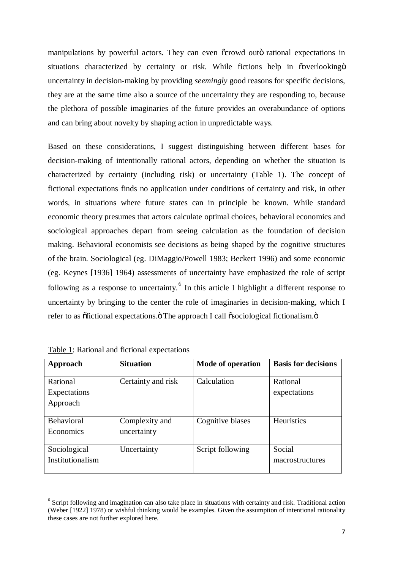manipulations by powerful actors. They can even  $\tilde{c}$  crowd outo rational expectations in situations characterized by certainty or risk. While fictions help in  $\tilde{0}$  overlooking  $\tilde{0}$ uncertainty in decision-making by providing *seemingly* good reasons for specific decisions, they are at the same time also a source of the uncertainty they are responding to, because the plethora of possible imaginaries of the future provides an overabundance of options and can bring about novelty by shaping action in unpredictable ways.

Based on these considerations, I suggest distinguishing between different bases for decision-making of intentionally rational actors, depending on whether the situation is characterized by certainty (including risk) or uncertainty (Table 1). The concept of fictional expectations finds no application under conditions of certainty and risk, in other words, in situations where future states can in principle be known. While standard economic theory presumes that actors calculate optimal choices, behavioral economics and sociological approaches depart from seeing calculation as the foundation of decision making. Behavioral economists see decisions as being shaped by the cognitive structures of the brain. Sociological (eg. DiMaggio/Powell 1983; Beckert 1996) and some economic (eg. Keynes [1936] 1964) assessments of uncertainty have emphasized the role of script following as a response to uncertainty.  $6\overline{)}$  In this article I highlight a different response to uncertainty by bringing to the center the role of imaginaries in decision-making, which I refer to as  $\tilde{o}$  fictional expectations. $\ddot{o}$  The approach I call  $\tilde{o}$ sociological fictionalism. $\ddot{o}$ 

| Approach                             | <b>Situation</b>              | Mode of operation | <b>Basis for decisions</b> |
|--------------------------------------|-------------------------------|-------------------|----------------------------|
| Rational<br>Expectations<br>Approach | Certainty and risk            | Calculation       | Rational<br>expectations   |
| <b>Behavioral</b><br>Economics       | Complexity and<br>uncertainty | Cognitive biases  | Heuristics                 |
| Sociological<br>Institutionalism     | Uncertainty                   | Script following  | Social<br>macrostructures  |

Table 1: Rational and fictional expectations

 $6$  Script following and imagination can also take place in situations with certainty and risk. Traditional action (Weber [1922] 1978) or wishful thinking would be examples. Given the assumption of intentional rationality these cases are not further explored here.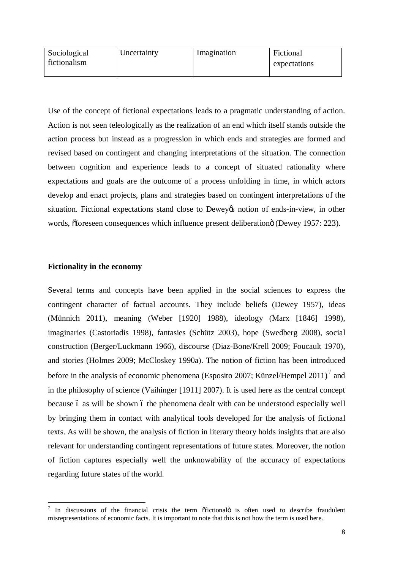| Sociological | Uncertainty | Imagination | Fictional    |
|--------------|-------------|-------------|--------------|
| fictionalism |             |             | expectations |

Use of the concept of fictional expectations leads to a pragmatic understanding of action. Action is not seen teleologically as the realization of an end which itself stands outside the action process but instead as a progression in which ends and strategies are formed and revised based on contingent and changing interpretations of the situation. The connection between cognition and experience leads to a concept of situated rationality where expectations and goals are the outcome of a process unfolding in time, in which actors develop and enact projects, plans and strategies based on contingent interpretations of the situation. Fictional expectations stand close to Dewey & notion of ends-in-view, in other words, öforeseen consequences which influence present deliberation (Dewey 1957: 223).

### **Fictionality in the economy**

Several terms and concepts have been applied in the social sciences to express the contingent character of factual accounts. They include beliefs (Dewey 1957), ideas (Münnich 2011), meaning (Weber [1920] 1988), ideology (Marx [1846] 1998), imaginaries (Castoriadis 1998), fantasies (Schütz 2003), hope (Swedberg 2008), social construction (Berger/Luckmann 1966), discourse (Diaz-Bone/Krell 2009; Foucault 1970), and stories (Holmes 2009; McCloskey 1990a). The notion of fiction has been introduced before in the analysis of economic phenomena (Esposito 2007; Künzel/Hempel 2011)<sup>7</sup> and in the philosophy of science (Vaihinger [1911] 2007). It is used here as the central concept because 6 as will be shown 6 the phenomena dealt with can be understood especially well by bringing them in contact with analytical tools developed for the analysis of fictional texts. As will be shown, the analysis of fiction in literary theory holds insights that are also relevant for understanding contingent representations of future states. Moreover, the notion of fiction captures especially well the unknowability of the accuracy of expectations regarding future states of the world.

In discussions of the financial crisis the term offictional is often used to describe fraudulent misrepresentations of economic facts. It is important to note that this is not how the term is used here.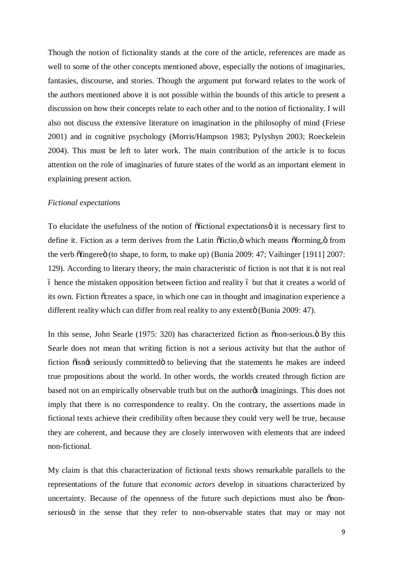Though the notion of fictionality stands at the core of the article, references are made as well to some of the other concepts mentioned above, especially the notions of imaginaries, fantasies, discourse, and stories. Though the argument put forward relates to the work of the authors mentioned above it is not possible within the bounds of this article to present a discussion on how their concepts relate to each other and to the notion of fictionality. I will also not discuss the extensive literature on imagination in the philosophy of mind (Friese 2001) and in cognitive psychology (Morris/Hampson 1983; Pylyshyn 2003; Roeckelein 2004). This must be left to later work. The main contribution of the article is to focus attention on the role of imaginaries of future states of the world as an important element in explaining present action.

#### *Fictional expectations*

To elucidate the usefulness of the notion of  $\tilde{\text{of}}$  increases it is necessary first to define it. Fiction as a term derives from the Latin  $\tilde{\sigma}$ fictio,  $\ddot{\sigma}$  which means  $\tilde{\sigma}$ forming, $\ddot{\sigma}$  from the verb  $\delta f$ ingere $\delta$  (to shape, to form, to make up) (Bunia 2009: 47; Vaihinger [1911] 2007: 129). According to literary theory, the main characteristic of fiction is not that it is not real 6 hence the mistaken opposition between fiction and reality 6 but that it creates a world of its own. Fiction  $\tilde{o}$ creates a space, in which one can in thought and imagination experience a different reality which can differ from real reality to any extent i (Bunia 2009: 47).

In this sense, John Searle (1975: 320) has characterized fiction as  $\tilde{\text{on}}$  on-serious. $\ddot{\text{o}}$  By this Searle does not mean that writing fiction is not a serious activity but that the author of fiction  $\tilde{\text{o}}$  isngt seriously committed to believing that the statements he makes are indeed true propositions about the world. In other words, the worlds created through fiction are based not on an empirically observable truth but on the author<sub><sup> $\alpha$ </sup> imaginings. This does not</sub> imply that there is no correspondence to reality. On the contrary, the assertions made in fictional texts achieve their credibility often because they could very well be true, because they are coherent, and because they are closely interwoven with elements that are indeed non-fictional.

My claim is that this characterization of fictional texts shows remarkable parallels to the representations of the future that *economic actors* develop in situations characterized by uncertainty. Because of the openness of the future such depictions must also be ononseriousö in the sense that they refer to non-observable states that may or may not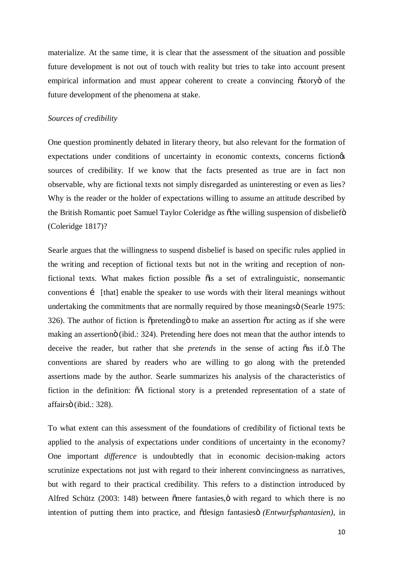materialize. At the same time, it is clear that the assessment of the situation and possible future development is not out of touch with reality but tries to take into account present empirical information and must appear coherent to create a convincing  $\tilde{\text{c}}$ story $\ddot{\text{o}}$  of the future development of the phenomena at stake.

### *Sources of credibility*

One question prominently debated in literary theory, but also relevant for the formation of expectations under conditions of uncertainty in economic contexts, concerns fictionos sources of credibility. If we know that the facts presented as true are in fact non observable, why are fictional texts not simply disregarded as uninteresting or even as lies? Why is the reader or the holder of expectations willing to assume an attitude described by the British Romantic poet Samuel Taylor Coleridge as  $\delta$ the willing suspension of disbelief $\delta$ (Coleridge 1817)?

Searle argues that the willingness to suspend disbelief is based on specific rules applied in the writing and reception of fictional texts but not in the writing and reception of nonfictional texts. What makes fiction possible  $\tilde{o}$  is a set of extralinguistic, nonsemantic conventions i [that] enable the speaker to use words with their literal meanings without undertaking the commitments that are normally required by those meanings o (Searle 1975: 326). The author of fiction is  $\tilde{p}$  opretending to make an assertion  $\tilde{p}$  are acting as if she were making an assertiono (ibid.: 324). Pretending here does not mean that the author intends to deceive the reader, but rather that she *pretends* in the sense of acting  $\tilde{\text{o}}$  as if  $\ddot{\text{o}}$ . The conventions are shared by readers who are willing to go along with the pretended assertions made by the author. Searle summarizes his analysis of the characteristics of fiction in the definition:  $\delta A$  fictional story is a pretended representation of a state of affairsö (ibid.: 328).

To what extent can this assessment of the foundations of credibility of fictional texts be applied to the analysis of expectations under conditions of uncertainty in the economy? One important *difference* is undoubtedly that in economic decision-making actors scrutinize expectations not just with regard to their inherent convincingness as narratives, but with regard to their practical credibility. This refers to a distinction introduced by Alfred Schütz (2003: 148) between omere fantasies, o with regard to which there is no intention of putting them into practice, and õdesign fantasiesö (Entwurfsphantasien), in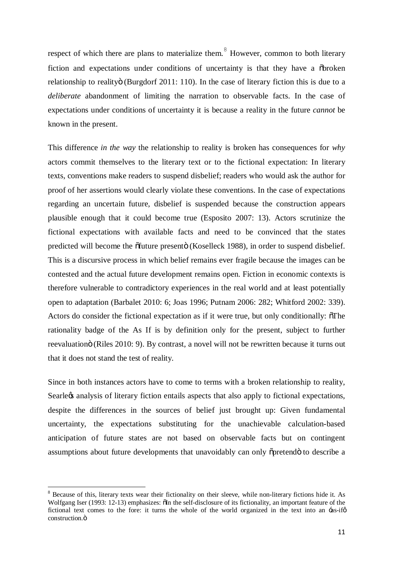respect of which there are plans to materialize them.<sup>8</sup> However, common to both literary fiction and expectations under conditions of uncertainty is that they have a  $\ddot{\text{o}}$ broken relationship to reality o (Burgdorf 2011: 110). In the case of literary fiction this is due to a *deliberate* abandonment of limiting the narration to observable facts. In the case of expectations under conditions of uncertainty it is because a reality in the future *cannot* be known in the present.

This difference *in the way* the relationship to reality is broken has consequences for *why* actors commit themselves to the literary text or to the fictional expectation: In literary texts, conventions make readers to suspend disbelief; readers who would ask the author for proof of her assertions would clearly violate these conventions. In the case of expectations regarding an uncertain future, disbelief is suspended because the construction appears plausible enough that it could become true (Esposito 2007: 13). Actors scrutinize the fictional expectations with available facts and need to be convinced that the states predicted will become the  $\delta$ future present $\ddot{\sigma}$  (Koselleck 1988), in order to suspend disbelief. This is a discursive process in which belief remains ever fragile because the images can be contested and the actual future development remains open. Fiction in economic contexts is therefore vulnerable to contradictory experiences in the real world and at least potentially open to adaptation (Barbalet 2010: 6; Joas 1996; Putnam 2006: 282; Whitford 2002: 339). Actors do consider the fictional expectation as if it were true, but only conditionally:  $\delta$ The rationality badge of the As If is by definition only for the present, subject to further reevaluation (Riles 2010: 9). By contrast, a novel will not be rewritten because it turns out that it does not stand the test of reality.

Since in both instances actors have to come to terms with a broken relationship to reality, Searlegs analysis of literary fiction entails aspects that also apply to fictional expectations, despite the differences in the sources of belief just brought up: Given fundamental uncertainty, the expectations substituting for the unachievable calculation-based anticipation of future states are not based on observable facts but on contingent assumptions about future developments that unavoidably can only opretendo to describe a

<sup>&</sup>lt;sup>8</sup> Because of this, literary texts wear their fictionality on their sleeve, while non-literary fictions hide it. As Wolfgang Iser (1993: 12-13) emphasizes:  $\delta$ In the self-disclosure of its fictionality, an important feature of the fictional text comes to the fore: it turns the whole of the world organized in the text into an -as-ifø construction.<sub>ö</sub>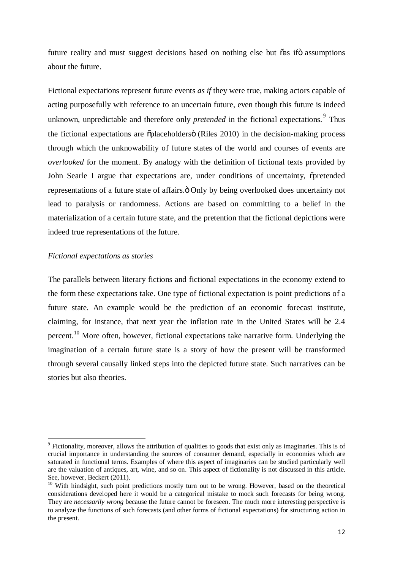future reality and must suggest decisions based on nothing else but õas ifö assumptions about the future.

Fictional expectations represent future events *as if* they were true, making actors capable of acting purposefully with reference to an uncertain future, even though this future is indeed unknown, unpredictable and therefore only *pretended* in the fictional expectations. <sup>9</sup> Thus the fictional expectations are  $\delta$  placeholders $\ddot{\text{o}}$  (Riles 2010) in the decision-making process through which the unknowability of future states of the world and courses of events are *overlooked* for the moment. By analogy with the definition of fictional texts provided by John Searle I argue that expectations are, under conditions of uncertainty,  $\ddot{\text{optended}}$ representations of a future state of affairs. $\ddot{o}$  Only by being overlooked does uncertainty not lead to paralysis or randomness. Actions are based on committing to a belief in the materialization of a certain future state, and the pretention that the fictional depictions were indeed true representations of the future.

#### *Fictional expectations as stories*

The parallels between literary fictions and fictional expectations in the economy extend to the form these expectations take. One type of fictional expectation is point predictions of a future state. An example would be the prediction of an economic forecast institute, claiming, for instance, that next year the inflation rate in the United States will be 2.4 percent.<sup>10</sup> More often, however, fictional expectations take narrative form. Underlying the imagination of a certain future state is a story of how the present will be transformed through several causally linked steps into the depicted future state. Such narratives can be stories but also theories.

<sup>&</sup>lt;sup>9</sup> Fictionality, moreover, allows the attribution of qualities to goods that exist only as imaginaries. This is of crucial importance in understanding the sources of consumer demand, especially in economies which are saturated in functional terms. Examples of where this aspect of imaginaries can be studied particularly well are the valuation of antiques, art, wine, and so on. This aspect of fictionality is not discussed in this article. See, however, Beckert (2011).

 $10$  With hindsight, such point predictions mostly turn out to be wrong. However, based on the theoretical considerations developed here it would be a categorical mistake to mock such forecasts for being wrong. They are *necessarily wrong* because the future cannot be foreseen. The much more interesting perspective is to analyze the functions of such forecasts (and other forms of fictional expectations) for structuring action in the present.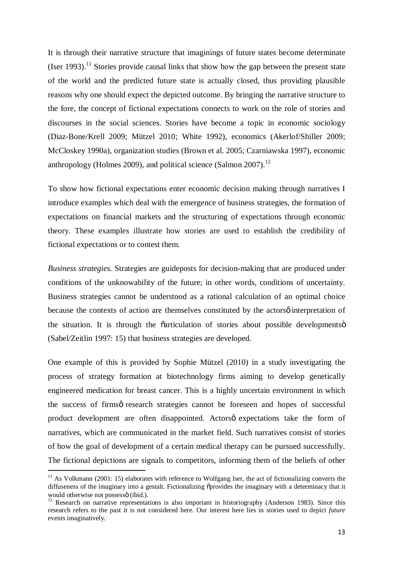It is through their narrative structure that imaginings of future states become determinate (Iser 1993).<sup>11</sup> Stories provide causal links that show how the gap between the present state of the world and the predicted future state is actually closed, thus providing plausible reasons why one should expect the depicted outcome. By bringing the narrative structure to the fore, the concept of fictional expectations connects to work on the role of stories and discourses in the social sciences. Stories have become a topic in economic sociology (Diaz-Bone/Krell 2009; Mützel 2010; White 1992), economics (Akerlof/Shiller 2009; McCloskey 1990a), organization studies (Brown et al. 2005; Czarniawska 1997), economic anthropology (Holmes 2009), and political science (Salmon 2007).<sup>12</sup>

To show how fictional expectations enter economic decision making through narratives I introduce examples which deal with the emergence of business strategies, the formation of expectations on financial markets and the structuring of expectations through economic theory. These examples illustrate how stories are used to establish the credibility of fictional expectations or to contest them.

*Business strategies.* Strategies are guideposts for decision-making that are produced under conditions of the unknowability of the future; in other words, conditions of uncertainty. Business strategies cannot be understood as a rational calculation of an optimal choice because the contexts of action are themselves constituted by the actors  $\phi$  interpretation of the situation. It is through the  $\ddot{o}$  articulation of stories about possible developments $\ddot{o}$ (Sabel/Zeitlin 1997: 15) that business strategies are developed.

One example of this is provided by Sophie Mützel (2010) in a study investigating the process of strategy formation at biotechnology firms aiming to develop genetically engineered medication for breast cancer. This is a highly uncertain environment in which the success of firms *o* research strategies cannot be foreseen and hopes of successful product development are often disappointed. Actorsø expectations take the form of narratives, which are communicated in the market field. Such narratives consist of stories of how the goal of development of a certain medical therapy can be pursued successfully. The fictional depictions are signals to competitors, informing them of the beliefs of other

 $\overline{a}$ 

 $11$  As Volkmann (2001: 15) elaborates with reference to Wolfgang Iser, the act of fictionalizing converts the diffuseness of the imaginary into a gestalt. Fictionalizing oprovides the imaginary with a determinacy that it would otherwise not possessö (ibid.).<br><sup>12</sup> Research on narrative representations is also important in historiography (Anderson 1983). Since this

research refers to the past it is not considered here. Our interest here lies in stories used to depict *future* events imaginatively.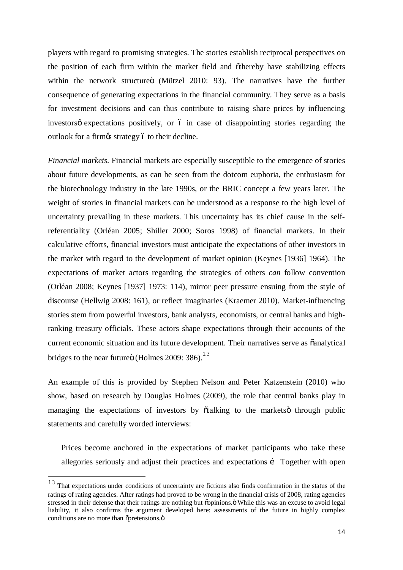players with regard to promising strategies. The stories establish reciprocal perspectives on the position of each firm within the market field and "thereby have stabilizing effects within the network structure i (Mützel 2010: 93). The narratives have the further consequence of generating expectations in the financial community. They serve as a basis for investment decisions and can thus contribute to raising share prices by influencing investors o expectations positively, or 6 in case of disappointing stories regarding the outlook for a firm  $\alpha$  strategy 6 to their decline.

*Financial markets*. Financial markets are especially susceptible to the emergence of stories about future developments, as can be seen from the dotcom euphoria, the enthusiasm for the biotechnology industry in the late 1990s, or the BRIC concept a few years later. The weight of stories in financial markets can be understood as a response to the high level of uncertainty prevailing in these markets. This uncertainty has its chief cause in the selfreferentiality (Orléan 2005; Shiller 2000; Soros 1998) of financial markets. In their calculative efforts, financial investors must anticipate the expectations of other investors in the market with regard to the development of market opinion (Keynes [1936] 1964). The expectations of market actors regarding the strategies of others *can* follow convention (Orléan 2008; Keynes [1937] 1973: 114), mirror peer pressure ensuing from the style of discourse (Hellwig 2008: 161), or reflect imaginaries (Kraemer 2010). Market-influencing stories stem from powerful investors, bank analysts, economists, or central banks and highranking treasury officials. These actors shape expectations through their accounts of the current economic situation and its future development. Their narratives serve as  $\ddot{\text{o}}$ analytical bridges to the near futureö (Holmes 2009: 386). $^{13}$ 

An example of this is provided by Stephen Nelson and Peter Katzenstein (2010) who show, based on research by Douglas Holmes (2009), the role that central banks play in managing the expectations of investors by  $\tilde{o}$  talking to the markets through public statements and carefully worded interviews:

Prices become anchored in the expectations of market participants who take these allegories seriously and adjust their practices and expectations in Together with open

<sup>&</sup>lt;sup>13</sup> That expectations under conditions of uncertainty are fictions also finds confirmation in the status of the ratings of rating agencies. After ratings had proved to be wrong in the financial crisis of 2008, rating agencies stressed in their defense that their ratings are nothing but oppinions. O While this was an excuse to avoid legal liability, it also confirms the argument developed here: assessments of the future in highly complex conditions are no more than opretensions. $\ddot{o}$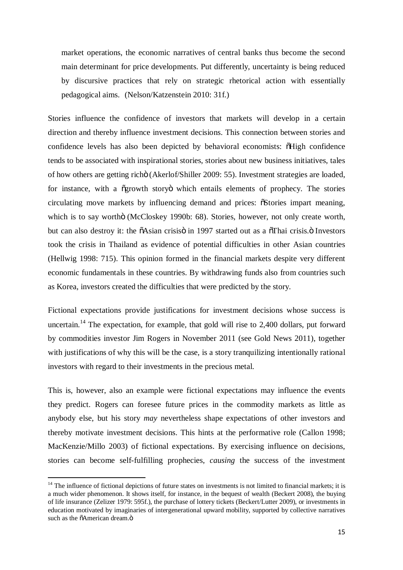market operations, the economic narratives of central banks thus become the second main determinant for price developments. Put differently, uncertainty is being reduced by discursive practices that rely on strategic rhetorical action with essentially pedagogical aims. (Nelson/Katzenstein 2010: 31f.)

Stories influence the confidence of investors that markets will develop in a certain direction and thereby influence investment decisions. This connection between stories and confidence levels has also been depicted by behavioral economists:  $\tilde{o}$ High confidence tends to be associated with inspirational stories, stories about new business initiatives, tales of how others are getting richo (Akerlof/Shiller 2009: 55). Investment strategies are loaded, for instance, with a  $\tilde{q}$  ogrowth story $\ddot{o}$  which entails elements of prophecy. The stories circulating move markets by influencing demand and prices:  $\tilde{\alpha}$ Stories impart meaning, which is to say worthö (McCloskey 1990b: 68). Stories, however, not only create worth, but can also destroy it: the  $\tilde{o}$ Asian crisis $\tilde{o}$  in 1997 started out as a  $\tilde{o}$ Thai crisis. $\tilde{o}$  Investors took the crisis in Thailand as evidence of potential difficulties in other Asian countries (Hellwig 1998: 715). This opinion formed in the financial markets despite very different economic fundamentals in these countries. By withdrawing funds also from countries such as Korea, investors created the difficulties that were predicted by the story.

Fictional expectations provide justifications for investment decisions whose success is uncertain.<sup>14</sup> The expectation, for example, that gold will rise to 2,400 dollars, put forward by commodities investor Jim Rogers in November 2011 (see Gold News 2011), together with justifications of why this will be the case, is a story tranquilizing intentionally rational investors with regard to their investments in the precious metal.

This is, however, also an example were fictional expectations may influence the events they predict. Rogers can foresee future prices in the commodity markets as little as anybody else, but his story *may* nevertheless shape expectations of other investors and thereby motivate investment decisions. This hints at the performative role (Callon 1998; MacKenzie/Millo 2003) of fictional expectations. By exercising influence on decisions, stories can become self-fulfilling prophecies, *causing* the success of the investment

 $\overline{a}$ 

 $14$  The influence of fictional depictions of future states on investments is not limited to financial markets; it is a much wider phenomenon. It shows itself, for instance, in the bequest of wealth (Beckert 2008), the buying of life insurance (Zelizer 1979: 595f.), the purchase of lottery tickets (Beckert/Lutter 2009), or investments in education motivated by imaginaries of intergenerational upward mobility, supported by collective narratives such as the  $\tilde{o}$ American dream. $\ddot{o}$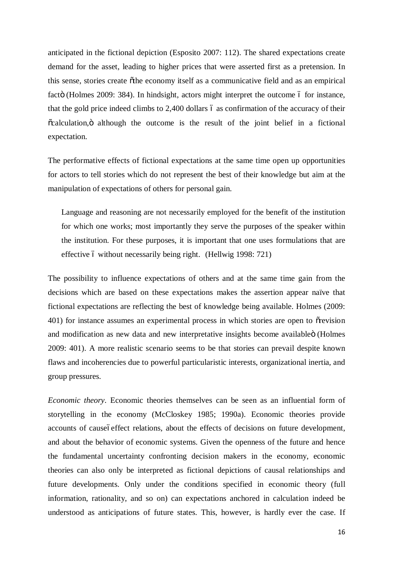anticipated in the fictional depiction (Esposito 2007: 112). The shared expectations create demand for the asset, leading to higher prices that were asserted first as a pretension. In this sense, stories create  $\tilde{o}$ the economy itself as a communicative field and as an empirical factö (Holmes 2009: 384). In hindsight, actors might interpret the outcome 6 for instance, that the gold price indeed climbs to  $2,400$  dollars 6 as confirmation of the accuracy of their  $\alpha$  calculation,  $\ddot{o}$  although the outcome is the result of the joint belief in a fictional expectation.

The performative effects of fictional expectations at the same time open up opportunities for actors to tell stories which do not represent the best of their knowledge but aim at the manipulation of expectations of others for personal gain.

Language and reasoning are not necessarily employed for the benefit of the institution for which one works; most importantly they serve the purposes of the speaker within the institution. For these purposes, it is important that one uses formulations that are effective 6 without necessarily being right. (Hellwig 1998: 721)

The possibility to influence expectations of others and at the same time gain from the decisions which are based on these expectations makes the assertion appear naïve that fictional expectations are reflecting the best of knowledge being available. Holmes (2009: 401) for instance assumes an experimental process in which stories are open to origion and modification as new data and new interpretative insights become availableö (Holmes 2009: 401). A more realistic scenario seems to be that stories can prevail despite known flaws and incoherencies due to powerful particularistic interests, organizational inertia, and group pressures.

*Economic theory*. Economic theories themselves can be seen as an influential form of storytelling in the economy (McCloskey 1985; 1990a). Economic theories provide accounts of cause of fect relations, about the effects of decisions on future development, and about the behavior of economic systems. Given the openness of the future and hence the fundamental uncertainty confronting decision makers in the economy, economic theories can also only be interpreted as fictional depictions of causal relationships and future developments. Only under the conditions specified in economic theory (full information, rationality, and so on) can expectations anchored in calculation indeed be understood as anticipations of future states. This, however, is hardly ever the case. If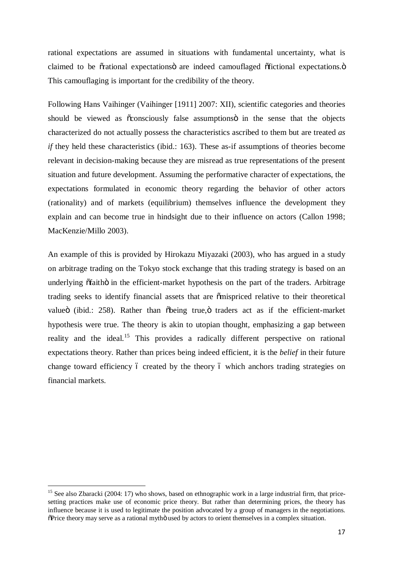rational expectations are assumed in situations with fundamental uncertainty, what is claimed to be orational expectations are indeed camouflaged original expectations. $\ddot{o}$ This camouflaging is important for the credibility of the theory.

Following Hans Vaihinger (Vaihinger [1911] 2007: XII), scientific categories and theories should be viewed as  $\tilde{o}$ consciously false assumptions in the sense that the objects characterized do not actually possess the characteristics ascribed to them but are treated *as if* they held these characteristics (ibid.: 163). These as-if assumptions of theories become relevant in decision-making because they are misread as true representations of the present situation and future development. Assuming the performative character of expectations, the expectations formulated in economic theory regarding the behavior of other actors (rationality) and of markets (equilibrium) themselves influence the development they explain and can become true in hindsight due to their influence on actors (Callon 1998; MacKenzie/Millo 2003).

An example of this is provided by Hirokazu Miyazaki (2003), who has argued in a study on arbitrage trading on the Tokyo stock exchange that this trading strategy is based on an underlying  $\delta$ faith $\ddot{\sigma}$  in the efficient-market hypothesis on the part of the traders. Arbitrage trading seeks to identify financial assets that are  $\tilde{\text{om}}$  is relative to their theoretical valueö (ibid.: 258). Rather than öbeing true, ö traders act as if the efficient-market hypothesis were true. The theory is akin to utopian thought, emphasizing a gap between reality and the ideal.<sup>15</sup> This provides a radically different perspective on rational expectations theory. Rather than prices being indeed efficient, it is the *belief* in their future change toward efficiency 6 created by the theory 6 which anchors trading strategies on financial markets.

 $\overline{a}$ 

<sup>&</sup>lt;sup>15</sup> See also Zbaracki (2004: 17) who shows, based on ethnographic work in a large industrial firm, that pricesetting practices make use of economic price theory. But rather than determining prices, the theory has influence because it is used to legitimate the position advocated by a group of managers in the negotiations.  $\delta$ Price theory may serve as a rational mytho used by actors to orient themselves in a complex situation.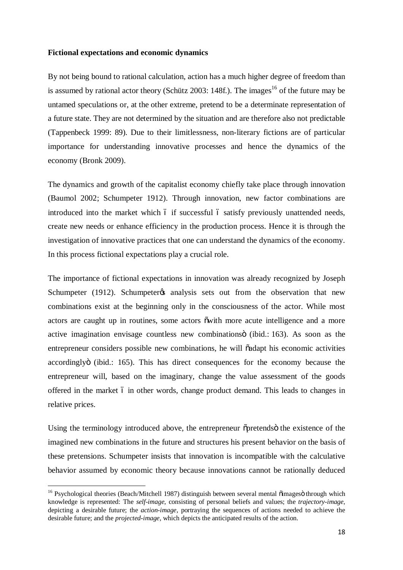#### **Fictional expectations and economic dynamics**

By not being bound to rational calculation, action has a much higher degree of freedom than is assumed by rational actor theory (Schütz 2003: 148f.). The images<sup>16</sup> of the future may be untamed speculations or, at the other extreme, pretend to be a determinate representation of a future state. They are not determined by the situation and are therefore also not predictable (Tappenbeck 1999: 89). Due to their limitlessness, non-literary fictions are of particular importance for understanding innovative processes and hence the dynamics of the economy (Bronk 2009).

The dynamics and growth of the capitalist economy chiefly take place through innovation (Baumol 2002; Schumpeter 1912). Through innovation, new factor combinations are introduced into the market which 6 if successful 6 satisfy previously unattended needs, create new needs or enhance efficiency in the production process. Hence it is through the investigation of innovative practices that one can understand the dynamics of the economy. In this process fictional expectations play a crucial role.

The importance of fictional expectations in innovation was already recognized by Joseph Schumpeter (1912). Schumpeter the analysis sets out from the observation that new combinations exist at the beginning only in the consciousness of the actor. While most actors are caught up in routines, some actors owith more acute intelligence and a more active imagination envisage countless new combinations o (ibid.: 163). As soon as the entrepreneur considers possible new combinations, he will  $\ddot{o}$  adapt his economic activities accordingly 6 (ibid.: 165). This has direct consequences for the economy because the entrepreneur will, based on the imaginary, change the value assessment of the goods offered in the market 6 in other words, change product demand. This leads to changes in relative prices.

Using the terminology introduced above, the entrepreneur opretends the existence of the imagined new combinations in the future and structures his present behavior on the basis of these pretensions. Schumpeter insists that innovation is incompatible with the calculative behavior assumed by economic theory because innovations cannot be rationally deduced

 $\overline{a}$ 

 $16$  Psychological theories (Beach/Mitchell 1987) distinguish between several mental  $\ddot{o}$ images $\ddot{o}$  through which knowledge is represented: The *self-image*, consisting of personal beliefs and values; the *trajectory-image*, depicting a desirable future; the *action-image*, portraying the sequences of actions needed to achieve the desirable future; and the *projected-image*, which depicts the anticipated results of the action.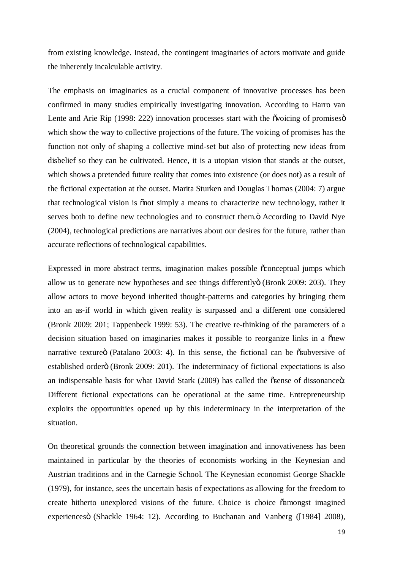from existing knowledge. Instead, the contingent imaginaries of actors motivate and guide the inherently incalculable activity.

The emphasis on imaginaries as a crucial component of innovative processes has been confirmed in many studies empirically investigating innovation. According to Harro van Lente and Arie Rip  $(1998: 222)$  innovation processes start with the  $\tilde{p}$  ovicing of promises  $\tilde{p}$ which show the way to collective projections of the future. The voicing of promises has the function not only of shaping a collective mind-set but also of protecting new ideas from disbelief so they can be cultivated. Hence, it is a utopian vision that stands at the outset, which shows a pretended future reality that comes into existence (or does not) as a result of the fictional expectation at the outset. Marita Sturken and Douglas Thomas (2004: 7) argue that technological vision is onot simply a means to characterize new technology, rather it serves both to define new technologies and to construct them. $\ddot{o}$  According to David Nye (2004), technological predictions are narratives about our desires for the future, rather than accurate reflections of technological capabilities.

Expressed in more abstract terms, imagination makes possible  $\tilde{\alpha}$ conceptual jumps which allow us to generate new hypotheses and see things differently i (Bronk 2009: 203). They allow actors to move beyond inherited thought-patterns and categories by bringing them into an as-if world in which given reality is surpassed and a different one considered (Bronk 2009: 201; Tappenbeck 1999: 53). The creative re-thinking of the parameters of a decision situation based on imaginaries makes it possible to reorganize links in a  $\delta$ new narrative texture o (Patalano 2003: 4). In this sense, the fictional can be  $\tilde{o}subversive$  of established orderö (Bronk 2009: 201). The indeterminacy of fictional expectations is also an indispensable basis for what David Stark (2009) has called the osense of dissonance o: Different fictional expectations can be operational at the same time. Entrepreneurship exploits the opportunities opened up by this indeterminacy in the interpretation of the situation.

On theoretical grounds the connection between imagination and innovativeness has been maintained in particular by the theories of economists working in the Keynesian and Austrian traditions and in the Carnegie School. The Keynesian economist George Shackle (1979), for instance, sees the uncertain basis of expectations as allowing for the freedom to create hitherto unexplored visions of the future. Choice is choice  $\tilde{o}$ amongst imagined experiences (Shackle 1964: 12). According to Buchanan and Vanberg ([1984] 2008),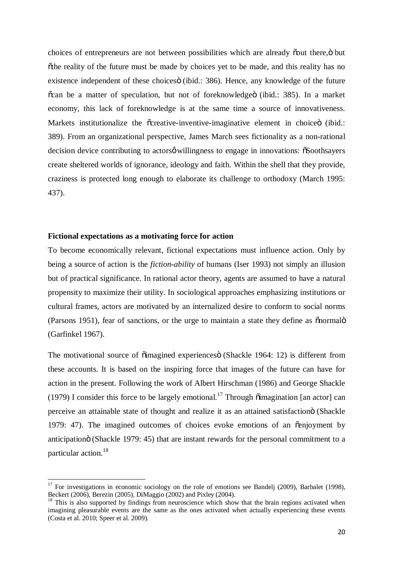choices of entrepreneurs are not between possibilities which are already  $\tilde{\text{out}}$  there, $\ddot{\text{o}}$  but  $\delta$ the reality of the future must be made by choices yet to be made, and this reality has no existence independent of these choices i (ibid.: 386). Hence, any knowledge of the future  $\tilde{c}$ can be a matter of speculation, but not of foreknowledge (ibid.: 385). In a market economy, this lack of foreknowledge is at the same time a source of innovativeness. Markets institutionalize the  $\tilde{c}$  creative-inventive-imaginative element in choice  $\ddot{c}$  (ibid.: 389). From an organizational perspective, James March sees fictionality as a non-rational decision device contributing to actors o willingness to engage in innovations:  $\delta$ Soothsayers create sheltered worlds of ignorance, ideology and faith. Within the shell that they provide, craziness is protected long enough to elaborate its challenge to orthodoxy (March 1995: 437).

# **Fictional expectations as a motivating force for action**

To become economically relevant, fictional expectations must influence action. Only by being a source of action is the *fiction-ability* of humans (Iser 1993) not simply an illusion but of practical significance. In rational actor theory, agents are assumed to have a natural propensity to maximize their utility. In sociological approaches emphasizing institutions or cultural frames, actors are motivated by an internalized desire to conform to social norms (Parsons 1951), fear of sanctions, or the urge to maintain a state they define as  $\tilde{\text{onormal}}$ (Garfinkel 1967).

The motivational source of  $\ddot{\text{o}}$  imagined experiences $\ddot{\text{o}}$  (Shackle 1964: 12) is different from these accounts. It is based on the inspiring force that images of the future can have for action in the present. Following the work of Albert Hirschman (1986) and George Shackle (1979) I consider this force to be largely emotional.<sup>17</sup> Through  $\tilde{o}$  imagination [an actor] can perceive an attainable state of thought and realize it as an attained satisfaction o (Shackle 1979: 47). The imagined outcomes of choices evoke emotions of an "enjoyment by anticipation (Shackle 1979: 45) that are instant rewards for the personal commitment to a particular action.<sup>18</sup>

<sup>&</sup>lt;sup>17</sup> For investigations in economic sociology on the role of emotions see Bandelj (2009), Barbalet (1998), Beckert (2006), Berezin (2005), DiMaggio (2002) and Pixley (2004).

 $^{18}$  This is also supported by findings from neuroscience which show that the brain regions activated when imagining pleasurable events are the same as the ones activated when actually experiencing these events (Costa et al. 2010; Speer et al. 2009).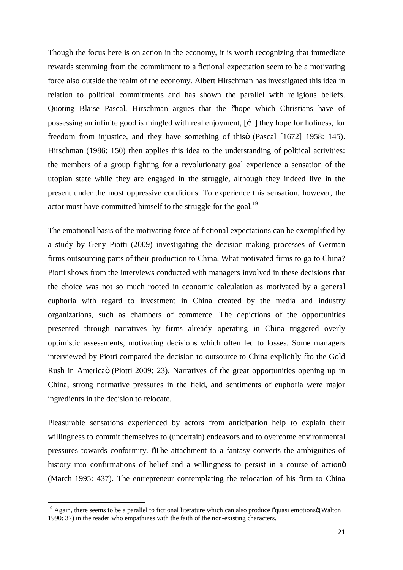Though the focus here is on action in the economy, it is worth recognizing that immediate rewards stemming from the commitment to a fictional expectation seem to be a motivating force also outside the realm of the economy. Albert Hirschman has investigated this idea in relation to political commitments and has shown the parallel with religious beliefs. Quoting Blaise Pascal, Hirschman argues that the ohope which Christians have of possessing an infinite good is mingled with real enjoyment,  $\begin{bmatrix} i \\ i \end{bmatrix}$  they hope for holiness, for freedom from injustice, and they have something of this (Pascal [1672] 1958: 145). Hirschman (1986: 150) then applies this idea to the understanding of political activities: the members of a group fighting for a revolutionary goal experience a sensation of the utopian state while they are engaged in the struggle, although they indeed live in the present under the most oppressive conditions. To experience this sensation, however, the actor must have committed himself to the struggle for the goal.<sup>19</sup>

The emotional basis of the motivating force of fictional expectations can be exemplified by a study by Geny Piotti (2009) investigating the decision-making processes of German firms outsourcing parts of their production to China. What motivated firms to go to China? Piotti shows from the interviews conducted with managers involved in these decisions that the choice was not so much rooted in economic calculation as motivated by a general euphoria with regard to investment in China created by the media and industry organizations, such as chambers of commerce. The depictions of the opportunities presented through narratives by firms already operating in China triggered overly optimistic assessments, motivating decisions which often led to losses. Some managers interviewed by Piotti compared the decision to outsource to China explicitly  $\tilde{\sigma}$  to the Gold Rush in Americaö (Piotti 2009: 23). Narratives of the great opportunities opening up in China, strong normative pressures in the field, and sentiments of euphoria were major ingredients in the decision to relocate.

Pleasurable sensations experienced by actors from anticipation help to explain their willingness to commit themselves to (uncertain) endeavors and to overcome environmental pressures towards conformity. The attachment to a fantasy converts the ambiguities of history into confirmations of belief and a willingness to persist in a course of action of (March 1995: 437). The entrepreneur contemplating the relocation of his firm to China

<sup>&</sup>lt;sup>19</sup> Again, there seems to be a parallel to fictional literature which can also produce õquasi emotionsö(Walton 1990: 37) in the reader who empathizes with the faith of the non-existing characters.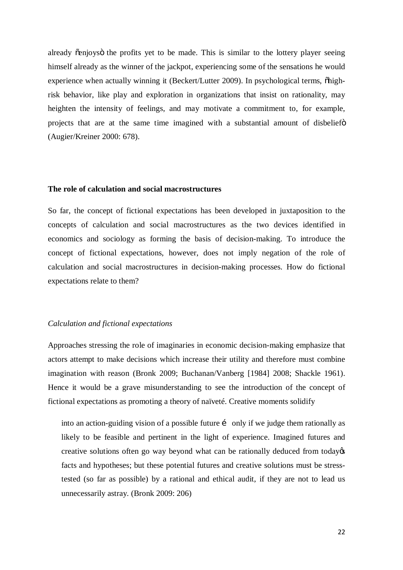already  $\tilde{\text{c}}$  enjoys the profits yet to be made. This is similar to the lottery player seeing himself already as the winner of the jackpot, experiencing some of the sensations he would experience when actually winning it (Beckert/Lutter 2009). In psychological terms,  $\delta$ highrisk behavior, like play and exploration in organizations that insist on rationality, may heighten the intensity of feelings, and may motivate a commitment to, for example, projects that are at the same time imagined with a substantial amount of disbelieform (Augier/Kreiner 2000: 678).

# **The role of calculation and social macrostructures**

So far, the concept of fictional expectations has been developed in juxtaposition to the concepts of calculation and social macrostructures as the two devices identified in economics and sociology as forming the basis of decision-making. To introduce the concept of fictional expectations, however, does not imply negation of the role of calculation and social macrostructures in decision-making processes. How do fictional expectations relate to them?

### *Calculation and fictional expectations*

Approaches stressing the role of imaginaries in economic decision-making emphasize that actors attempt to make decisions which increase their utility and therefore must combine imagination with reason (Bronk 2009; Buchanan/Vanberg [1984] 2008; Shackle 1961). Hence it would be a grave misunderstanding to see the introduction of the concept of fictional expectations as promoting a theory of naïveté. Creative moments solidify

into an action-guiding vision of a possible future  $i$  only if we judge them rationally as likely to be feasible and pertinent in the light of experience. Imagined futures and creative solutions often go way beyond what can be rationally deduced from today $\alpha$ facts and hypotheses; but these potential futures and creative solutions must be stresstested (so far as possible) by a rational and ethical audit, if they are not to lead us unnecessarily astray. (Bronk 2009: 206)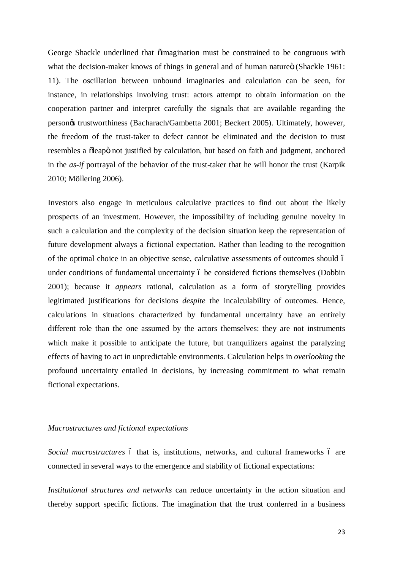George Shackle underlined that  $\ddot{\text{o}}$  imagination must be constrained to be congruous with what the decision-maker knows of things in general and of human nature o (Shackle 1961: 11). The oscillation between unbound imaginaries and calculation can be seen, for instance, in relationships involving trust: actors attempt to obtain information on the cooperation partner and interpret carefully the signals that are available regarding the person $\alpha$  trustworthiness (Bacharach/Gambetta 2001; Beckert 2005). Ultimately, however, the freedom of the trust-taker to defect cannot be eliminated and the decision to trust resembles a  $\tilde{o}$ leapo not justified by calculation, but based on faith and judgment, anchored in the *as-if* portrayal of the behavior of the trust-taker that he will honor the trust (Karpik 2010; Möllering 2006).

Investors also engage in meticulous calculative practices to find out about the likely prospects of an investment. However, the impossibility of including genuine novelty in such a calculation and the complexity of the decision situation keep the representation of future development always a fictional expectation. Rather than leading to the recognition of the optimal choice in an objective sense, calculative assessments of outcomes should – under conditions of fundamental uncertainty 6 be considered fictions themselves (Dobbin 2001); because it *appears* rational, calculation as a form of storytelling provides legitimated justifications for decisions *despite* the incalculability of outcomes. Hence, calculations in situations characterized by fundamental uncertainty have an entirely different role than the one assumed by the actors themselves: they are not instruments which make it possible to anticipate the future, but tranquilizers against the paralyzing effects of having to act in unpredictable environments. Calculation helps in *overlooking* the profound uncertainty entailed in decisions, by increasing commitment to what remain fictional expectations.

# *Macrostructures and fictional expectations*

*Social macrostructures* 6 that is, institutions, networks, and cultural frameworks 6 are connected in several ways to the emergence and stability of fictional expectations:

*Institutional structures and networks* can reduce uncertainty in the action situation and thereby support specific fictions. The imagination that the trust conferred in a business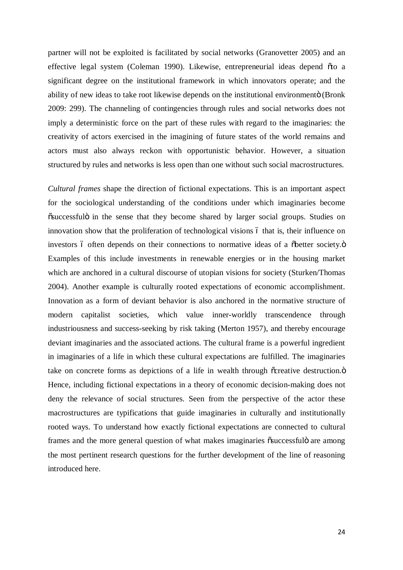partner will not be exploited is facilitated by social networks (Granovetter 2005) and an effective legal system (Coleman 1990). Likewise, entrepreneurial ideas depend õto a significant degree on the institutional framework in which innovators operate; and the ability of new ideas to take root likewise depends on the institutional environmentö (Bronk 2009: 299). The channeling of contingencies through rules and social networks does not imply a deterministic force on the part of these rules with regard to the imaginaries: the creativity of actors exercised in the imagining of future states of the world remains and actors must also always reckon with opportunistic behavior. However, a situation structured by rules and networks is less open than one without such social macrostructures.

*Cultural frames* shape the direction of fictional expectations. This is an important aspect for the sociological understanding of the conditions under which imaginaries become  $\tilde{\text{os}}$ uccessfulo in the sense that they become shared by larger social groups. Studies on innovation show that the proliferation of technological visions 6 that is, their influence on investors 6 often depends on their connections to normative ideas of a  $\ddot{o}$  better society. $\ddot{o}$ Examples of this include investments in renewable energies or in the housing market which are anchored in a cultural discourse of utopian visions for society (Sturken/Thomas 2004). Another example is culturally rooted expectations of economic accomplishment. Innovation as a form of deviant behavior is also anchored in the normative structure of modern capitalist societies, which value inner-worldly transcendence through industriousness and success-seeking by risk taking (Merton 1957), and thereby encourage deviant imaginaries and the associated actions. The cultural frame is a powerful ingredient in imaginaries of a life in which these cultural expectations are fulfilled. The imaginaries take on concrete forms as depictions of a life in wealth through  $\tilde{c}$  creative destruction. $\ddot{o}$ Hence, including fictional expectations in a theory of economic decision-making does not deny the relevance of social structures. Seen from the perspective of the actor these macrostructures are typifications that guide imaginaries in culturally and institutionally rooted ways. To understand how exactly fictional expectations are connected to cultural frames and the more general question of what makes imaginaries  $\tilde{o}$ successful $\tilde{o}$  are among the most pertinent research questions for the further development of the line of reasoning introduced here.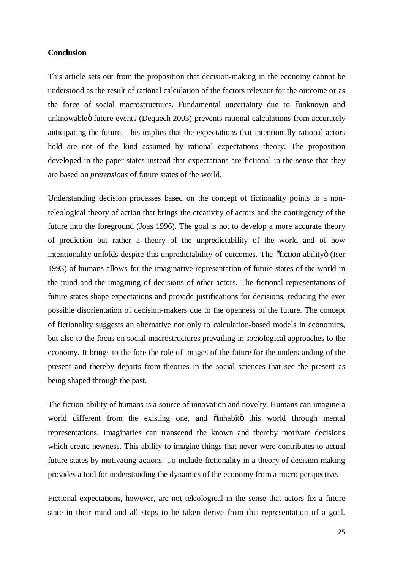# **Conclusion**

This article sets out from the proposition that decision-making in the economy cannot be understood as the result of rational calculation of the factors relevant for the outcome or as the force of social macrostructures. Fundamental uncertainty due to  $\ddot{\text{o}}$ unknown and unknowableö future events (Dequech 2003) prevents rational calculations from accurately anticipating the future. This implies that the expectations that intentionally rational actors hold are not of the kind assumed by rational expectations theory. The proposition developed in the paper states instead that expectations are fictional in the sense that they are based on *pretensions* of future states of the world.

Understanding decision processes based on the concept of fictionality points to a nonteleological theory of action that brings the creativity of actors and the contingency of the future into the foreground (Joas 1996). The goal is not to develop a more accurate theory of prediction but rather a theory of the unpredictability of the world and of how intentionality unfolds despite this unpredictability of outcomes. The ofiction-ability of Iser 1993) of humans allows for the imaginative representation of future states of the world in the mind and the imagining of decisions of other actors. The fictional representations of future states shape expectations and provide justifications for decisions, reducing the ever possible disorientation of decision-makers due to the openness of the future. The concept of fictionality suggests an alternative not only to calculation-based models in economics, but also to the focus on social macrostructures prevailing in sociological approaches to the economy. It brings to the fore the role of images of the future for the understanding of the present and thereby departs from theories in the social sciences that see the present as being shaped through the past.

The fiction-ability of humans is a source of innovation and novelty. Humans can imagine a world different from the existing one, and  $\ddot{\text{o}}$  inhabito this world through mental representations. Imaginaries can transcend the known and thereby motivate decisions which create newness. This ability to imagine things that never were contributes to actual future states by motivating actions. To include fictionality in a theory of decision-making provides a tool for understanding the dynamics of the economy from a micro perspective.

Fictional expectations, however, are not teleological in the sense that actors fix a future state in their mind and all steps to be taken derive from this representation of a goal.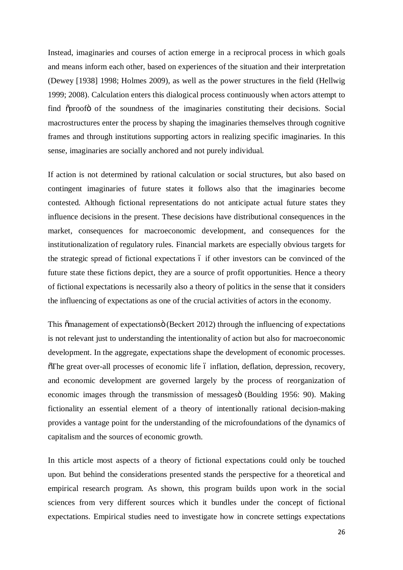Instead, imaginaries and courses of action emerge in a reciprocal process in which goals and means inform each other, based on experiences of the situation and their interpretation (Dewey [1938] 1998; Holmes 2009), as well as the power structures in the field (Hellwig 1999; 2008). Calculation enters this dialogical process continuously when actors attempt to find  $\ddot{\text{o}}$  proof  $\ddot{\text{o}}$  of the soundness of the imaginaries constituting their decisions. Social macrostructures enter the process by shaping the imaginaries themselves through cognitive frames and through institutions supporting actors in realizing specific imaginaries. In this sense, imaginaries are socially anchored and not purely individual.

If action is not determined by rational calculation or social structures, but also based on contingent imaginaries of future states it follows also that the imaginaries become contested. Although fictional representations do not anticipate actual future states they influence decisions in the present. These decisions have distributional consequences in the market, consequences for macroeconomic development, and consequences for the institutionalization of regulatory rules. Financial markets are especially obvious targets for the strategic spread of fictional expectations 6 if other investors can be convinced of the future state these fictions depict, they are a source of profit opportunities. Hence a theory of fictional expectations is necessarily also a theory of politics in the sense that it considers the influencing of expectations as one of the crucial activities of actors in the economy.

This "management of expectations" (Beckert 2012) through the influencing of expectations is not relevant just to understanding the intentionality of action but also for macroeconomic development. In the aggregate, expectations shape the development of economic processes.  $\delta$ The great over-all processes of economic life 6 inflation, deflation, depression, recovery, and economic development are governed largely by the process of reorganization of economic images through the transmission of messagesö (Boulding 1956: 90). Making fictionality an essential element of a theory of intentionally rational decision-making provides a vantage point for the understanding of the microfoundations of the dynamics of capitalism and the sources of economic growth.

In this article most aspects of a theory of fictional expectations could only be touched upon. But behind the considerations presented stands the perspective for a theoretical and empirical research program. As shown, this program builds upon work in the social sciences from very different sources which it bundles under the concept of fictional expectations. Empirical studies need to investigate how in concrete settings expectations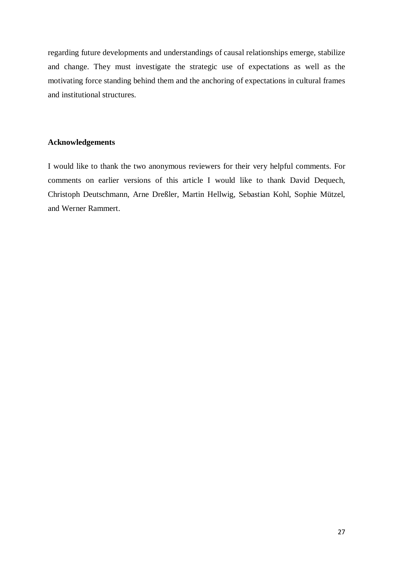regarding future developments and understandings of causal relationships emerge, stabilize and change. They must investigate the strategic use of expectations as well as the motivating force standing behind them and the anchoring of expectations in cultural frames and institutional structures.

# **Acknowledgements**

I would like to thank the two anonymous reviewers for their very helpful comments. For comments on earlier versions of this article I would like to thank David Dequech, Christoph Deutschmann, Arne Dreßler, Martin Hellwig, Sebastian Kohl, Sophie Mützel, and Werner Rammert.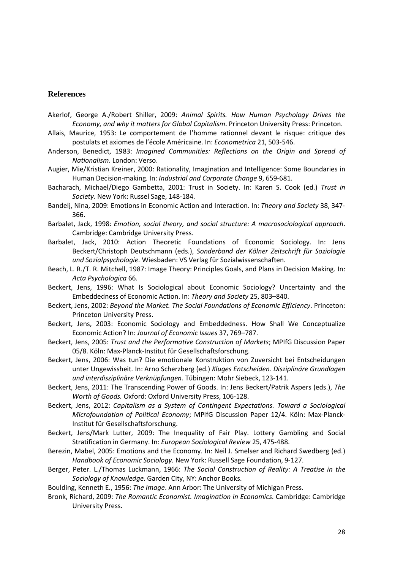### **References**

- Akerlof, George A./Robert Shiller, 2009: *Animal Spirits. How Human Psychology Drives the Economy, and why it matters for Global Capitalism*. Princeton University Press: Princeton.
- Allais, Maurice, 1953: Le comportement de l'homme rationnel devant le risque: critique des postulats et axiomes de l'école Américaine. In: *Econometrica* 21, 503-546.
- Anderson, Benedict, 1983: *Imagined Communities: Reflections on the Origin and Spread of Nationalism*. London: Verso.
- Augier, Mie/Kristian Kreiner, 2000: Rationality, Imagination and Intelligence: Some Boundaries in Human Decision-making. In: *Industrial and Corporate Change* 9, 659-681.
- Bacharach, Michael/Diego Gambetta, 2001: Trust in Society. In: Karen S. Cook (ed.) *Trust in Society.* New York: Russel Sage, 148-184.
- Bandelj, Nina, 2009: Emotions in Economic Action and Interaction. In: *Theory and Society* 38, 347- 366.
- Barbalet, Jack, 1998: *Emotion, social theory, and social structure: A macrosociological approach*. Cambridge: Cambridge University Press.
- Barbalet, Jack, 2010: Action Theoretic Foundations of Economic Sociology. In: Jens Beckert/Christoph Deutschmann (eds.), *Sonderband der Kölner Zeitschrift für Soziologie und Sozialpsychologie.* Wiesbaden: VS Verlag für Sozialwissenschaften.
- Beach, L. R./T. R. Mitchell, 1987: Image Theory: Principles Goals, and Plans in Decision Making. In: *Acta Psychologica* 66.
- Beckert, Jens, 1996: What Is Sociological about Economic Sociology? Uncertainty and the Embeddedness of Economic Action. In: *Theory and Society* 25, 803–840.
- Beckert, Jens, 2002: *Beyond the Market. The Social Foundations of Economic Efficiency*. Princeton: Princeton University Press.
- Beckert, Jens, 2003: Economic Sociology and Embeddedness. How Shall We Conceptualize Economic Action? In: *Journal of Economic Issues* 37, 769–787.
- Beckert, Jens, 2005: *Trust and the Performative Construction of Markets*; MPIfG Discussion Paper 05/8. Köln: Max-Planck-Institut für Gesellschaftsforschung.
- Beckert, Jens, 2006: Was tun? Die emotionale Konstruktion von Zuversicht bei Entscheidungen unter Ungewissheit. In: Arno Scherzberg (ed.) *Kluges Entscheiden. Disziplinäre Grundlagen und interdisziplinäre Verknüpfungen.* Tübingen: Mohr Siebeck, 123-141.
- Beckert, Jens, 2011: The Transcending Power of Goods. In: Jens Beckert/Patrik Aspers (eds.), *The Worth of Goods.* Oxford: Oxford University Press, 106-128.
- Beckert, Jens, 2012: *Capitalism as a System of Contingent Expectations. Toward a Sociological Microfoundation of Political Economy*; MPIfG Discussion Paper 12/4. Köln: Max-Planck-Institut für Gesellschaftsforschung.
- Beckert, Jens/Mark Lutter, 2009: The Inequality of Fair Play. Lottery Gambling and Social Stratification in Germany. In: *European Sociological Review* 25, 475-488.
- Berezin, Mabel, 2005: Emotions and the Economy. In: Neil J. Smelser and Richard Swedberg (ed.) *Handbook of Economic Sociology.* New York: Russell Sage Foundation, 9-127.
- Berger, Peter. L./Thomas Luckmann, 1966: *The Social Construction of Reality: A Treatise in the Sociology of Knowledge*. Garden City, NY: Anchor Books.

Boulding, Kenneth E., 1956: *The Image*. Ann Arbor: The University of Michigan Press.

Bronk, Richard, 2009: *The Romantic Economist. Imagination in Economics*. Cambridge: Cambridge University Press.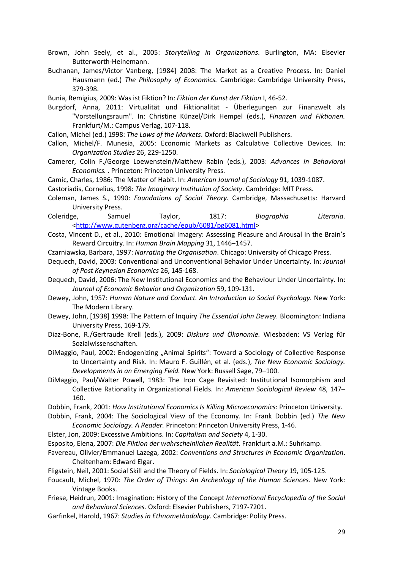Brown, John Seely, et al., 2005: *Storytelling in Organizations*. Burlington, MA: Elsevier Butterworth-Heinemann.

- Buchanan, James/Victor Vanberg, [1984] 2008: The Market as a Creative Process. In: Daniel Hausmann (ed.) *The Philosophy of Economics.* Cambridge: Cambridge University Press, 379-398.
- Bunia, Remigius, 2009: Was ist Fiktion? In: *Fiktion der Kunst der Fiktion* I, 46-52.
- Burgdorf, Anna, 2011: Virtualität und Fiktionalität Überlegungen zur Finanzwelt als "Vorstellungsraum". In: Christine Künzel/Dirk Hempel (eds.), *Finanzen und Fiktionen.*  Frankfurt/M.: Campus Verlag, 107-118.
- Callon, Michel (ed.) 1998: *The Laws of the Markets*. Oxford: Blackwell Publishers.
- Callon, Michel/F. Munesia, 2005: Economic Markets as Calculative Collective Devices. In: *Organization Studies* 26, 229-1250.
- Camerer, Colin F./George Loewenstein/Matthew Rabin (eds.), 2003: *Advances in Behavioral Economics.* . Princeton: Princeton University Press.
- Camic, Charles, 1986: The Matter of Habit. In: *American Journal of Sociology* 91, 1039-1087.

Castoriadis, Cornelius, 1998: *The Imaginary Institution of Society*. Cambridge: MIT Press.

- Coleman, James S., 1990: *Foundations of Social Theory*. Cambridge, Massachusetts: Harvard University Press.
- Coleridge, Samuel Taylor, 1817: *Biographia Literaria*. <http://www.gutenberg.org/cache/epub/6081/pg6081.html>
- Costa, Vincent D., et al., 2010: Emotional Imagery: Assessing Pleasure and Arousal in the Brain's Reward Circuitry. In: *Human Brain Mapping* 31, 1446–1457.
- Czarniawska, Barbara, 1997: *Narrating the Organisation*. Chicago: University of Chicago Press.
- Dequech, David, 2003: Conventional and Unconventional Behavior Under Uncertainty. In: *Journal of Post Keynesian Economics* 26, 145-168.
- Dequech, David, 2006: The New Institutional Economics and the Behaviour Under Uncertainty. In: *Journal of Economic Behavior and Organization* 59, 109-131.
- Dewey, John, 1957: *Human Nature and Conduct. An Introduction to Social Psychology.* New York: The Modern Library.
- Dewey, John, [1938] 1998: The Pattern of Inquiry *The Essential John Dewey.* Bloomington: Indiana University Press, 169-179.
- Diaz-Bone, R./Gertraude Krell (eds.), 2009: *Diskurs und Ökonomie*. Wiesbaden: VS Verlag für Sozialwissenschaften.

DiMaggio, Paul, 2002: Endogenizing "Animal Spirits": Toward a Sociology of Collective Response to Uncertainty and Risk. In: Mauro F. Guillén, et al. (eds.), *The New Economic Sociology. Developments in an Emerging Field.* New York: Russell Sage, 79–100.

- DiMaggio, Paul/Walter Powell, 1983: The Iron Cage Revisited: Institutional Isomorphism and Collective Rationality in Organizational Fields. In: *American Sociological Review* 48, 147– 160.
- Dobbin, Frank, 2001: *How Institutional Economics Is Killing Microeconomics*: Princeton University.
- Dobbin, Frank, 2004: The Sociological View of the Economy. In: Frank Dobbin (ed.) *The New Economic Sociology. A Reader.* Princeton: Princeton University Press, 1-46.
- Elster, Jon, 2009: Excessive Ambitions. In: *Capitalism and Society* 4, 1-30.
- Esposito, Elena, 2007: *Die Fiktion der wahrscheinlichen Realität*. Frankfurt a.M.: Suhrkamp.
- Favereau, Olivier/Emmanuel Lazega, 2002: *Conventions and Structures in Economic Organization*. Cheltenham: Edward Elgar.
- Fligstein, Neil, 2001: Social Skill and the Theory of Fields. In: *Sociological Theory* 19, 105-125.
- Foucault, Michel, 1970: *The Order of Things: An Archeology of the Human Sciences*. New York: Vintage Books.
- Friese, Heidrun, 2001: Imagination: History of the Concept *International Encyclopedia of the Social and Behavioral Sciences.* Oxford: Elsevier Publishers, 7197-7201.
- Garfinkel, Harold, 1967: *Studies in Ethnomethodology*. Cambridge: Polity Press.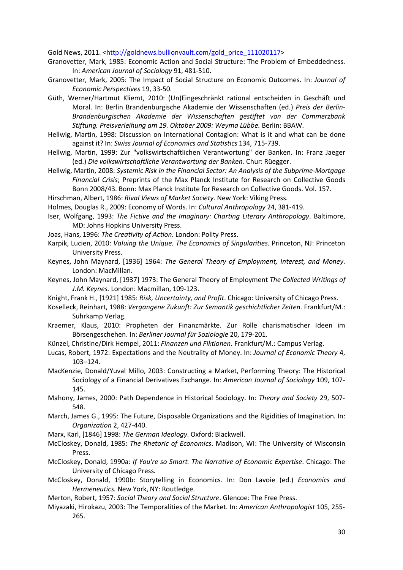Gold News, 2011. <http://goldnews.bullionvault.com/gold\_price\_111020117>

- Granovetter, Mark, 1985: Economic Action and Social Structure: The Problem of Embeddedness. In: *American Journal of Sociology* 91, 481-510.
- Granovetter, Mark, 2005: The Impact of Social Structure on Economic Outcomes. In: *Journal of Economic Perspectives* 19, 33-50.
- Güth, Werner/Hartmut Kliemt, 2010: (Un)Eingeschränkt rational entscheiden in Geschäft und Moral. In: Berlin Brandenburgische Akademie der Wissenschaften (ed.) *Preis der Berlin-Brandenburgischen Akademie der Wissenschaften gestiftet von der Commerzbank Stiftung. Preisverleihung am 19. Oktober 2009: Weyma Lübbe.* Berlin: BBAW.
- Hellwig, Martin, 1998: Discussion on International Contagion: What is it and what can be done against it? In: *Swiss Journal of Economics and Statistics* 134, 715-739.
- Hellwig, Martin, 1999: Zur "volkswirtschaftlichen Verantwortung" der Banken. In: Franz Jaeger (ed.) *Die volkswirtschaftliche Verantwortung der Banken.* Chur: Rüegger.
- Hellwig, Martin, 2008: *Systemic Risk in the Financial Sector: An Analysis of the Subprime-Mortgage Financial Crisis*; Preprints of the Max Planck Institute for Research on Collective Goods Bonn 2008/43. Bonn: Max Planck Institute for Research on Collective Goods. Vol. 157.
- Hirschman, Albert, 1986: *Rival Views of Market Society*. New York: Viking Press.

Holmes, Douglas R., 2009: Economy of Words. In: *Cultural Anthropology* 24, 381-419.

- Iser, Wolfgang, 1993: *The Fictive and the Imaginary: Charting Literary Anthropology*. Baltimore, MD: Johns Hopkins University Press.
- Joas, Hans, 1996: *The Creativity of Action*. London: Polity Press.
- Karpik, Lucien, 2010: *Valuing the Unique. The Economics of Singularities*. Princeton, NJ: Princeton University Press.
- Keynes, John Maynard, [1936] 1964: *The General Theory of Employment, Interest, and Money*. London: MacMillan.
- Keynes, John Maynard, [1937] 1973: The General Theory of Employment *The Collected Writings of J.M. Keynes.* London: Macmillan, 109-123.
- Knight, Frank H., [1921] 1985: *Risk, Uncertainty, and Profit*. Chicago: University of Chicago Press.
- Koselleck, Reinhart, 1988: *Vergangene Zukunft: Zur Semantik geschichtlicher Zeiten*. Frankfurt/M.: Suhrkamp Verlag.
- Kraemer, Klaus, 2010: Propheten der Finanzmärkte. Zur Rolle charismatischer Ideen im Börsengeschehen. In: *Berliner Journal für Soziologie* 20, 179-201.
- Künzel, Christine/Dirk Hempel, 2011: *Finanzen und Fiktionen*. Frankfurt/M.: Campus Verlag.
- Lucas, Robert, 1972: Expectations and the Neutrality of Money. In: *Journal of Economic Theory* 4, 103–124.
- MacKenzie, Donald/Yuval Millo, 2003: Constructing a Market, Performing Theory: The Historical Sociology of a Financial Derivatives Exchange. In: *American Journal of Sociology* 109, 107- 145.
- Mahony, James, 2000: Path Dependence in Historical Sociology. In: *Theory and Society* 29, 507- 548.
- March, James G., 1995: The Future, Disposable Organizations and the Rigidities of Imagination. In: *Organization* 2, 427-440.
- Marx, Karl, [1846] 1998: *The German Ideology*. Oxford: Blackwell.
- McCloskey, Donald, 1985: *The Rhetoric of Economics*. Madison, WI: The University of Wisconsin Press.
- McCloskey, Donald, 1990a: *If You're so Smart. The Narrative of Economic Expertise*. Chicago: The University of Chicago Press.
- McCloskey, Donald, 1990b: Storytelling in Economics. In: Don Lavoie (ed.) *Economics and Hermeneutics.* New York, NY: Routledge.
- Merton, Robert, 1957: *Social Theory and Social Structure*. Glencoe: The Free Press.
- Miyazaki, Hirokazu, 2003: The Temporalities of the Market. In: *American Anthropologist* 105, 255- 265.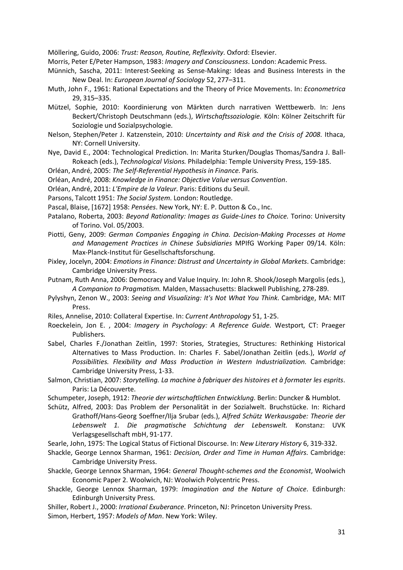Möllering, Guido, 2006: *Trust: Reason, Routine, Reflexivity*. Oxford: Elsevier.

Morris, Peter E/Peter Hampson, 1983: *Imagery and Consciousness*. London: Academic Press.

- Münnich, Sascha, 2011: Interest-Seeking as Sense-Making: Ideas and Business Interests in the New Deal. In: *European Journal of Sociology* 52, 277–311.
- Muth, John F., 1961: Rational Expectations and the Theory of Price Movements. In: *Econometrica* 29, 315–335.
- Mützel, Sophie, 2010: Koordinierung von Märkten durch narrativen Wettbewerb. In: Jens Beckert/Christoph Deutschmann (eds.), *Wirtschaftssoziologie.* Köln: Kölner Zeitschrift für Soziologie und Sozialpsychologie.
- Nelson, Stephen/Peter J. Katzenstein, 2010: *Uncertainty and Risk and the Crisis of 2008*. Ithaca, NY: Cornell University.
- Nye, David E., 2004: Technological Prediction. In: Marita Sturken/Douglas Thomas/Sandra J. Ball-Rokeach (eds.), *Technological Visions.* Philadelphia: Temple University Press, 159-185.

Orléan, André, 2005: *The Self-Referential Hypothesis in Finance*. Paris.

Orléan, André, 2008: *Knowledge in Finance: Objective Value versus Convention*.

Orléan, André, 2011: *L'Empire de la Valeur*. Paris: Editions du Seuil.

Parsons, Talcott 1951: *The Social System*. London: Routledge.

Pascal, Blaise, [1672] 1958: *Pensées*. New York, NY: E. P. Dutton & Co., Inc.

- Patalano, Roberta, 2003: *Beyond Rationality: Images as Guide-Lines to Choice*. Torino: University of Torino. Vol. 05/2003.
- Piotti, Geny, 2009: *German Companies Engaging in China. Decision-Making Processes at Home and Management Practices in Chinese Subsidiaries* MPIfG Working Paper 09/14. Köln: Max-Planck-Institut für Gesellschaftsforschung.
- Pixley, Jocelyn, 2004: *Emotions in Finance: Distrust and Uncertainty in Global Markets*. Cambridge: Cambridge University Press.
- Putnam, Ruth Anna, 2006: Democracy and Value Inquiry. In: John R. Shook/Joseph Margolis (eds.), *A Companion to Pragmatism.* Malden, Massachusetts: Blackwell Publishing, 278-289.
- Pylyshyn, Zenon W., 2003: *Seeing and Visualizing: It's Not What You Think*. Cambridge, MA: MIT Press.
- Riles, Annelise, 2010: Collateral Expertise. In: *Current Anthropology* 51, 1-25.
- Roeckelein, Jon E. , 2004: *Imagery in Psychology: A Reference Guide*. Westport, CT: Praeger Publishers.
- Sabel, Charles F./Jonathan Zeitlin, 1997: Stories, Strategies, Structures: Rethinking Historical Alternatives to Mass Production. In: Charles F. Sabel/Jonathan Zeitlin (eds.), *World of Possibilities. Flexibility and Mass Production in Western Industrialization.* Cambridge: Cambridge University Press, 1-33.
- Salmon, Christian, 2007: *Storytelling. La machine à fabriquer des histoires et à formater les esprits*. Paris: La Découverte.
- Schumpeter, Joseph, 1912: *Theorie der wirtschaftlichen Entwicklung*. Berlin: Duncker & Humblot.
- Schütz, Alfred, 2003: Das Problem der Personalität in der Sozialwelt. Bruchstücke. In: Richard Grathoff/Hans-Georg Soeffner/Ilja Srubar (eds.), *Alfred Schütz Werkausgabe: Theorie der Lebenswelt 1. Die pragmatische Schichtung der Lebenswelt.* Konstanz: UVK Verlagsgesellschaft mbH, 91-177.
- Searle, John, 1975: The Logical Status of Fictional Discourse. In: *New Literary History* 6, 319-332.
- Shackle, George Lennox Sharman, 1961: *Decision, Order and Time in Human Affairs*. Cambridge: Cambridge University Press.
- Shackle, George Lennox Sharman, 1964: *General Thought-schemes and the Economist*, Woolwich Economic Paper 2. Woolwich, NJ: Woolwich Polycentric Press.
- Shackle, George Lennox Sharman, 1979: *Imagination and the Nature of Choice*. Edinburgh: Edinburgh University Press.
- Shiller, Robert J., 2000: *Irrational Exuberance*. Princeton, NJ: Princeton University Press.

Simon, Herbert, 1957: *Models of Man*. New York: Wiley.